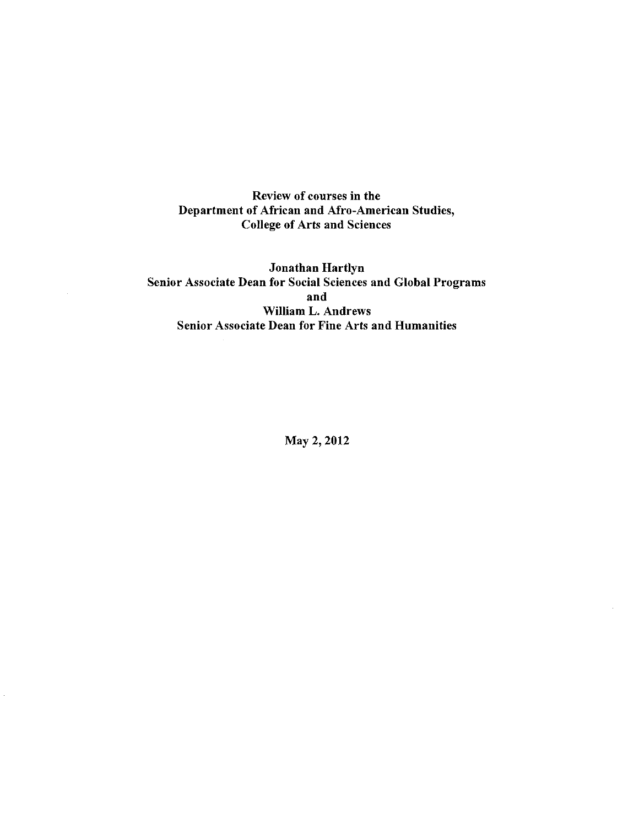Review of courses in the Department of African and Afro-American Studies, College of Arts and Sciences

Jonathan Hartlyn Senior Associate Dean for Social Sciences and Global Programs and William L. Andrews Senior Associate Dean for Fine Arts and Humanities

May 2, 2012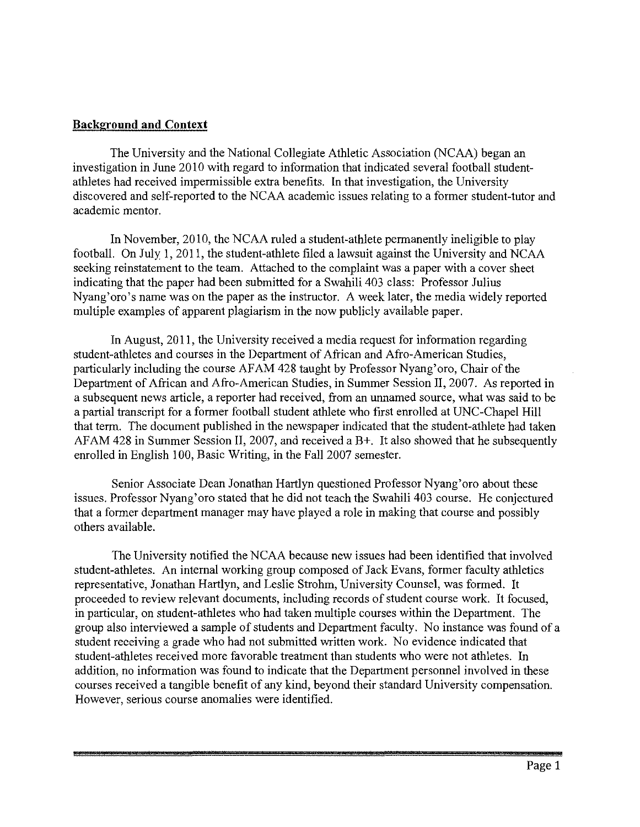#### **Background and Context**

The University and the National Collegiate Athletic Association (NCAA) began an investigation in June 2010 with regard to information that indicated several football studentathletes had received impermissible extra benefits. In that investigation, the University discovered and self-reported to the NCAA academic issues relating to a former student-tutor and academic mentor.

In November, 2010, the NCAA ruled a student-athlete permanently ineligible to play football. On July I, 2011, the student-athlete filed a lawsuit against the University and NCAA seeking reinstatement to the team. Attached to the complaint was a paper with a cover sheet indicating that the paper had been submitted for a Swahili 403 class: Professor Julius Nyang'oro's name was on the paper as the instructor. A week later, the media widely reported multiple examples of apparent plagiarism in the now publicly available paper.

In August, 2011, the University received a media request for information regarding student-athletes and courses in the Department of African and Afro-American Studies, particularly including the course AFAM 428 taught by Professor Nyang' oro, Chair of the Department of African and Afro-American Studies, in Summer Session II, 2007. As reported in a subsequent news article, a reporter had received, from an unnamed source, what was said to be a partial transcript for a former football student athlete who first enrolled at UNC-Chapel Hill that term. The document published in the newspaper indicated that the student-athlete had taken AFAM 428 in Summer Session II, 2007, and received a B+. It also showed that he subsequently enrolled in English 100, Basic Writing, in the Fall 2007 semester.

Senior Associate Dean Jonathan Hartlyn questioned Professor Nyang'oro about these issues. Professor Nyang'oro stated that he did not teach the Swahili 403 course. He conjectured that a former department manager may have played a role in making that course and possibly others available.

The University notified the NCAA because new issues had been identified that involved student-athletes. An internal working group composed of Jack Evans, former faculty athletics representative, Jonathan Hartlyn, and Leslie Strohm, University Counsel, was formed. It proceeded to review relevant documents, including records of student course work. It focused, in particular, on student-athletes who had taken multiple courses within the Department. The group also interviewed a sample of students and Department faculty. No instance was found of a student receiving a grade who had not submitted written work. No evidence indicated that student-athletes received more favorable treatment than students who were not athletes. In addition, no information was found to indicate that the Department personnel involved in these courses received a tangible benefit of any kind, beyond their standard University compensation. However, serious course anomalies were identified.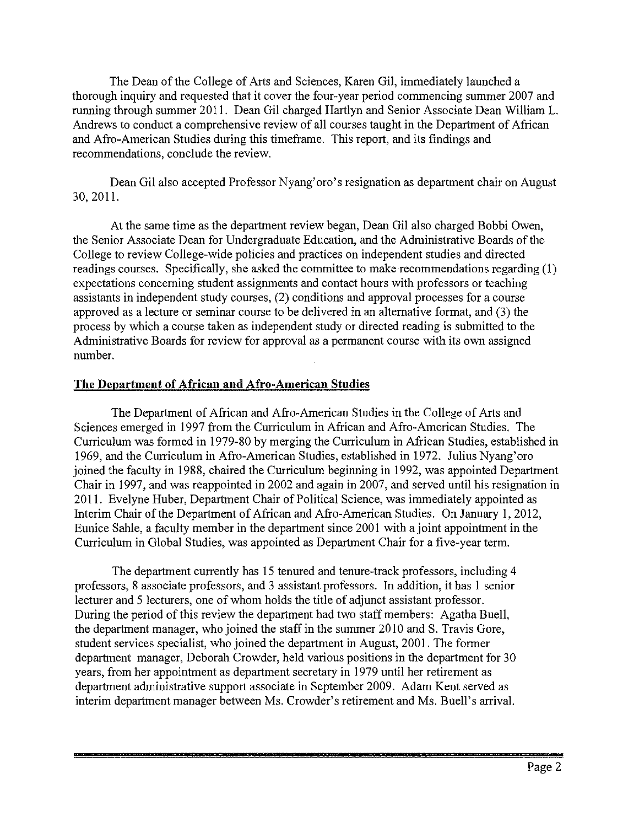The Dean of the College of Arts and Sciences, Karen Gil, immediately launched a thorough inquiry and requested that it cover the four-year period commencing summer 2007 and running through summer 2011. Dean Gil charged Hartlyn and Senior Associate Dean William L. Andrews to conduct a comprehensive review of all courses taught in the Department of African and Afro-American Studies during this timeframe. This report, and its findings and recommendations, conclude the review.

Dean Gil also accepted Professor Nyang'oro's resignation as department chair on August 30, 201].

At the same time as the department review began, Dean Gil also charged Bobbi Owen, the Senior Associate Dean for Undergraduate Education, and the Administrative Boards of the College to review College-wide policies and practices on independent studies and directed readings courses. Specifically, she asked the committee to make recommendations regarding (1) expectations concerning student assignments and contact hours with professors or teaching assistants in independent study courses, (2) conditions and approval processes for a course approved as a lecture or seminar course to be delivered in an alternative format, and (3) the process by which a course taken as independent study or directed reading is submitted to the Administrative Boards for review for approval as a permanent course with its own assigned number.

#### **The Department of African and Afro-American Studies**

The Department of African and Afro-American Studies in the College of Arts and Sciences emerged in 1997 from the Curriculum in African and Afro-American Studies. The Curriculum was formed in 1979-80 by merging the Curriculum in African Studies, established in 1969, and the Curriculum in Afro-American Studies, established in 1972. Julius Nyang'oro joined the faculty in 1988, chaired the Curriculum beginning in 1992, was appointed Department Chair in 1997, and was reappointed in 2002 and again in 2007, and served until his resignation in 2011. Evelyne Huber, Department Chair of Political Science, was immediately appointed as Interim Chair of the Department of African and Afro-American Studies. On January I, 2012, Eunice Sahle, a faculty member in the department since 2001 with a joint appointment in the Curriculum in Global Studies, was appointed as Department Chair for a five-year term.

The department currently has 15 tenured and tenure-track professors, including 4 professors, 8 associate professors, and 3 assistant professors. In addition, it has I senior lecturer and 5 lecturers, one of whom holds the title of adjunct assistant professor. During the period of this review the department had two staff members: Agatha Buell, the department manager, who joined the staff in the summer 2010 and S. Travis Gore, student services specialist, who joined the department in August, 2001. The former department manager, Deborah Crowder, held various positions in the department for 30 years, from her appointment as department secretary in 1979 until her retirement as department administrative support associate in September 2009. Adam Kent served as interim department manager between Ms. Crowder's retirement and Ms. Buell's arrival.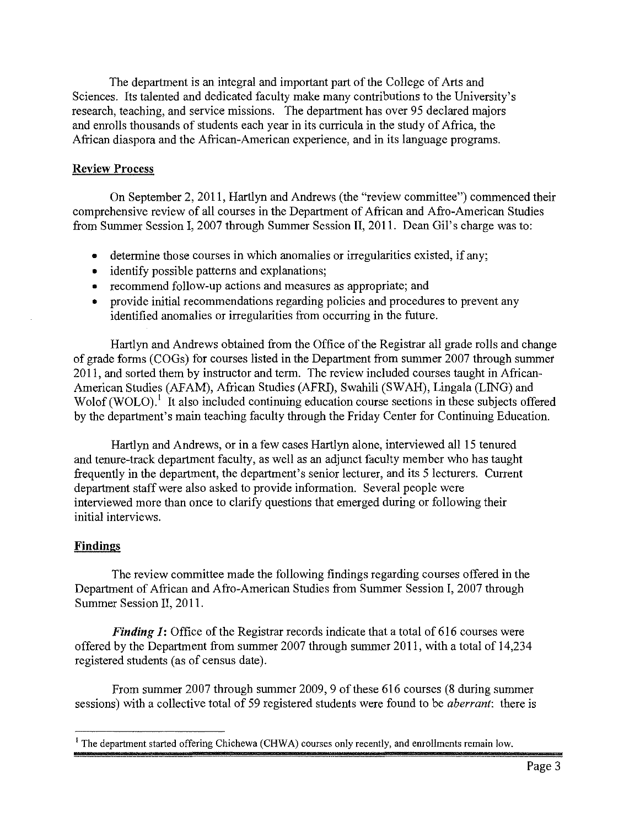The department is an integral and important part of the College of Arts and Sciences. Its talented and dedicated faculty make many contributions to the University's research, teaching, and service missions. The department has over 95 declared majors and enrolls thousands of students each year in its curricula in the study of Africa, the African diaspora and the African-American experience, and in its language programs.

# **Review Process**

On September 2, 2011, Hartlyn and Andrews (the "review committee") commenced their comprehensive review of all courses in the Department of African and Afro-American Studies from Summer Session I, 2007 through Summer Session **II,** 2011. Dean Gil's charge was to:

- determine those courses in which anomalies or irregularities existed, if any;
- identify possible patterns and explanations;
- recommend follow-up actions and measures as appropriate; and
- provide initial recommendations regarding policies and procedures to prevent any identified anomalies or irregularities from occurring in the future.

Hartlyn and Andrews obtained from the Office of the Registrar all grade rolls and change of grade forms (COGs) for courses listed in the Department from summer 2007 through summer 2011, and sorted them by instructor and term. The review included courses taught in African-American Studies (AFAM), African Studies (AFRI), Swahili (SW AH), Lingala (LING) and Wolof (WOLO).<sup>1</sup> It also included continuing education course sections in these subjects offered by the department's main teaching faculty through the Friday Center for Continuing Education.

Hartlyn and Andrews, or in a few cases Hartlyn alone, interviewed all 15 tenured and tenure-track department faculty, as well as an adjunct faculty member who has taught frequently in the department, the department's senior lecturer, and its 5 lecturers. Current department staff were also asked to provide information. Several people were interviewed more than once to clarify questions that emerged during or following their initial interviews.

# **Findings**

The review committee made the following findings regarding courses offered in the Department of African and Afro-American Studies from Summer Session I, 2007 through Summer Session II, 2011.

*Finding 1*: Office of the Registrar records indicate that a total of 616 courses were offered by the Department from summer 2007 through summer 2011, with a total of 14,234 registered students (as of census date).

From summer 2007 through summer 2009, 9 of these 616 courses (8 during summer sessions) with a collective total of 59 registered students were found to be *aberrant:* there is

<sup>&</sup>lt;sup>1</sup> The department started offering Chichewa (CHWA) courses only recently, and enrollments remain low.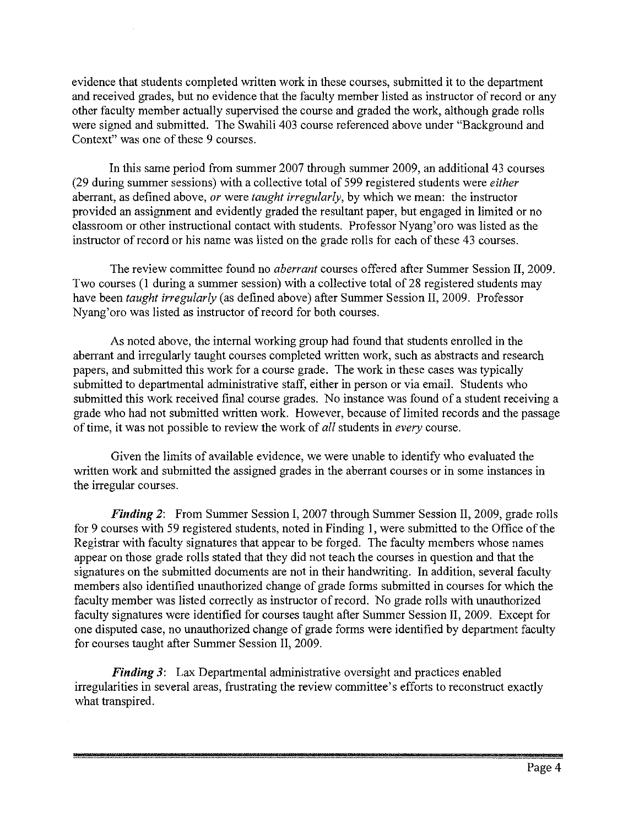evidence that students completed written work in these courses, submitted it to the department and received grades, but no evidence that the faculty member listed as instructor of record or any other faculty member actually supervised the course and graded the work, although grade rolls were signed and submitted. The Swahili 403 course referenced above under "Background and Context" was one of these 9 courses.

In this same period from summer 2007 through summer 2009, an additional 43 courses (29 during summer sessions) with a collective total of 599 registered students were *either*  aberrant, as defined above, *or* were *taught irregularly,* by which we mean: the instructor provided an assignment and evidently graded the resultant paper, but engaged in limited or no classroom or other instructional contact with students. Professor Nyang'oro was listed as the instructor of record or his name was listed on the grade rolls for each of these 43 courses.

The review committee found no *aberrant* courses offered after Summer Session **II,** 2009. Two courses (I during a summer session) with a collective total of 28 registered students may have been *taught irregularly* (as defined above) after Summer Session II, 2009. Professor Nyang'oro was listed as instructor of record for both courses.

As noted above, the internal working group had found that students emolled in the aberrant and irregularly taught courses completed written work, such as abstracts and research papers, and submitted this work for a course grade. The work in these cases was typically submitted to departmental administrative staff, either in person or via email. Students who submitted this work received final course grades. No instance was found of a student receiving a grade who had not submitted written work. However, because of limited records and the passage of time, it was not possible to review the work of *all* students in *every* course.

Given the limits of available evidence, we were unable to identify who evaluated the written work and submitted the assigned grades in the aberrant courses or in some instances in the irregular courses.

*Finding* 2: From Summer Session I, 2007 through Summer Session II, 2009, grade rolls for 9 courses with 59 registered students, noted in Finding I, were submitted to the Office of the Registrar with faculty signatures that appear to be forged. The faculty members whose names appear on those grade rolls stated that they did not teach the courses in question and that the signatures on the submitted documents are not in their handwriting. **In** addition, several faculty members also identified unauthorized change of grade forms submitted in courses for which the faculty member was listed correctly as instructor of record. No grade rolls with unauthorized faculty signatures were identified for courses taught after Summer Session **II,** 2009. Except for one disputed case, no unauthorized change of grade forms were identified by department faculty for courses taught after Summer Session II, 2009.

*Finding* 3: Lax Departmental administrative oversight and practices enabled irregularities in several areas, frustrating the review committee's efforts to reconstruct exactly what transpired.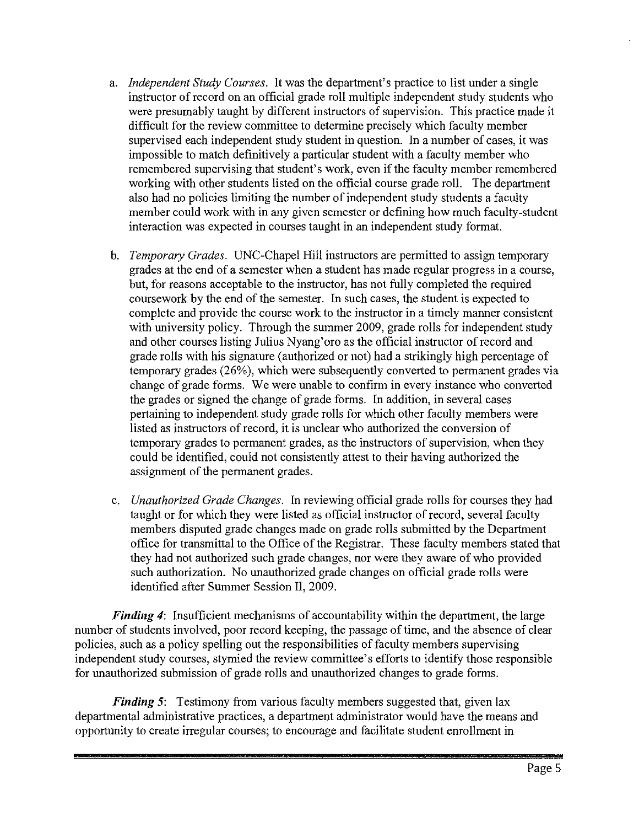- a. *Independent Study Courses.* It was the department's practice to list under a single instructor of record on an official grade roll multiple independent study students who were presumably taught by different instructors of supervision. This practice made it difficult for the review committee to determine precisely which faculty member supervised each independent study student in question. In a number of cases, it was impossible to match definitively a particular student with a faculty member who remembered supervising that student's work, even if the faculty member remembered working with other students listed on the official course grade roll. The department also had no policies limiting the number of independent study students a faculty member could work with in any given semester or defining how much faculty-student interaction was expected in courses taught in an independent study format.
- b. *Temporary Grades.* UNC-Chapel Hill instructors are permitted to assign temporary grades at the end of a semester when a student has made regular progress in a course, but, for reasons acceptable to the instructor, has not fully completed the required coursework by the end of the semester. In such cases, the student is expected to complete and provide the course work to the instructor in a timely manner consistent with university policy. Through the summer 2009, grade rolls for independent study and other courses listing Julius Nyang'oro as the official instructor of record and grade rolls with his signature (authorized or not) had a strikingly high percentage of temporary grades (26%), which were subsequently converted to permanent grades via change of grade forms. We were unable to confirm in every instance who converted the grades or signed the change of grade forms. In addition, in several cases pertaining to independent study grade rolls for which other faculty members were listed as instructors of record, it is unclear who authorized the conversion of temporary grades to permanent grades, as the instructors of supervision, when they could be identified, could not consistently attest to their having authorized the assignment of the permanent grades.
- c. *Unauthorized Grade Changes.* In reviewing official grade rolls for courses they had taught or for which they were listed as official instructor of record, several faculty members disputed grade changes made on grade rolls submitted by the Department office for transmittal to the Office of the Registrar. These faculty members stated that they had not authorized such grade changes, nor were they aware of who provided such authorization. No unauthorized grade changes on official grade rolls were identified after Summer Session II, 2009.

*Finding 4*: Insufficient mechanisms of accountability within the department, the large number of students involved, poor record keeping, the passage of time, and the absence of clear policies, such as a policy spelling out the responsibilities of faculty members supervising independent study courses, stymied the review committee's efforts to identify those responsible for unauthorized submission of grade rolls and unauthorized changes to grade forms.

*Finding 5***:** Testimony from various faculty members suggested that, given lax departmental administrative practices, a department administrator would have the means and opportunity to create irregular courses; to encourage and facilitate student enrollment in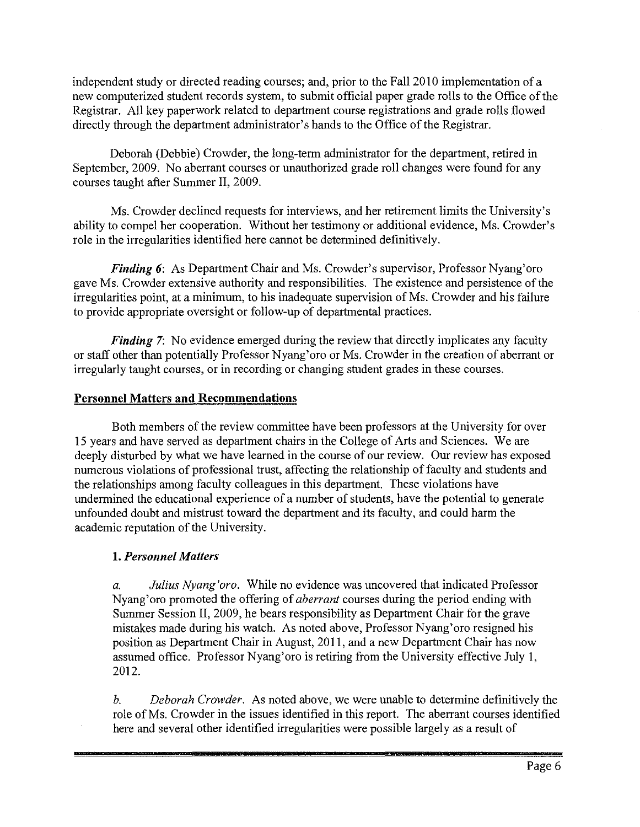independent study or directed reading courses; and, prior to the Fall 2010 implementation of a new computerized student records system, to submit official paper grade rolls to the Office of the Registrar. All key paperwork related to department course registrations and grade rolls flowed directly through the department administrator's hands to the Office of the Registrar.

Deborah (Debbie) Crowder, the long-term administrator for the department, retired in September, 2009. No aberrant courses or unauthorized grade roll changes were found for any courses taught after Summer II, 2009.

Ms. Crowder declined requests for interviews, and her retirement limits the University's ability to compel her cooperation. Without her testimony or additional evidence, Ms. Crowder's role in the irregularities identified here cannot be determined definitively.

*Finding 6:* As Department Chair and Ms. Crowder's supervisor, Professor Nyang'oro gave Ms. Crowder extensive authority and responsibilities. The existence and persistence of the irregularities point, at a minimum, to his inadequate supervision of Ms. Crowder and his failure to provide appropriate oversight or follow-up of departmental practices.

*Finding* 7: No evidence emerged during the review that directly implicates any faculty or staff other than potentially Professor Nyang'oro or Ms. Crowder in the creation of aberrant or irregularly taught courses, or in recording or changing student grades in these courses.

# **Personnel Matters and Recommendations**

Both members of the review committee have been professors at the University for over 15 years and have served as department chairs in the College of Arts and Sciences. We are deeply disturbed by what we have learned in the course of our review. Our review has exposed numerous violations of professional trust, affecting the relationship of faculty and students and the relationships among faculty colleagues in this department. These violations have undermined the educational experience of a number of students, have the potential to generate unfounded doubt and mistrust toward the department and its faculty, and could harm the academic reputation of the University.

# **1.** *Personnel Matters*

*a. Julius Nyang 'oro.* While no evidence was uncovered that indicated Professor Nyang'oro promoted the offering of *aberrant* courses during the period ending with Summer Session II, 2009, he bears responsibility as Department Chair for the grave mistakes made during his watch. As noted above, Professor Nyang' oro resigned his position as Department Chair in August, 2011, and a new Department Chair has now assumed office. Professor Nyang'oro is retiring from the University effective July I, 2012.

*b. Deborah Crowder.* As noted above, we were unable to determine definitively the role of Ms. Crowder in the issues identified in this report. The aberrant courses identified here and several other identified irregularities were possible largely as a result of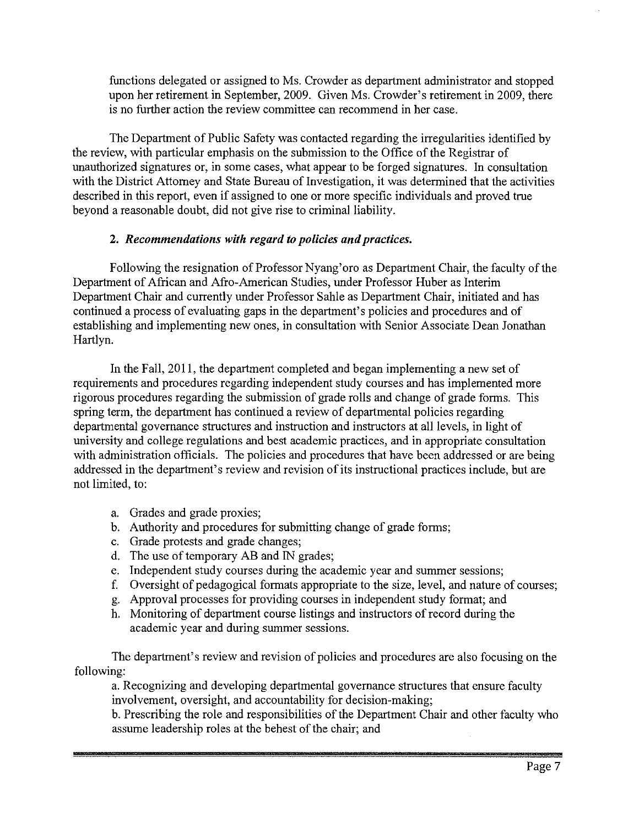functions delegated or assigned to Ms. Crowder as department administrator and stopped upon her retirement in September, 2009. Given Ms. Crowder's retirement in 2009, there is no further action the review committee can recommend in her case.

The Department of Public Safety was contacted regarding the irregularities identified by the review, with particular emphasis on the submission to the Office of the Registrar of unauthorized signatures or, in some cases, what appear to be forged signatures. In consultation with the District Attorney and State Bureau of Investigation, it was determined that the activities described in this report, even if assigned to one or more specific individuals and proved true beyond a reasonable doubt, did not give rise to criminal liability.

#### 2. *Recommendations with regard to policies and practices.*

Following the resignation of Professor Nyang'oro as Department Chair, the faculty of the Department of African and Afro-American Studies, under Professor Huber as Interim Department Chair and currently under Professor Sable as Department Chair, initiated and has continued a process of evaluating gaps in the department's policies and procedures and of establishing and implementing new ones, in consultation with Senior Associate Dean Jonathan Hartlyn.

In the Fall, 2011, the department completed and began implementing a new set of requirements and procedures regarding independent study courses and has implemented more rigorous procedures regarding the submission of grade rolls and change of grade forms. This spring term, the department has continued a review of departmental policies regarding departmental governance structures and instruction and instructors at all levels, in light of university and college regulations and best academic practices, and in appropriate consultation with administration officials. The policies and procedures that have been addressed or are being addressed in the department's review and revision of its instructional practices include, but are not limited, to:

- a. Grades and grade proxies;
- b. Authority and procedures for submitting change of grade forms;
- c. Grade protests and grade changes;
- d. The use of temporary AB and IN grades;
- e. Independent study courses during the academic year and summer sessions;
- f. Oversight of pedagogical formats appropriate to the size, level, and nature of courses;
- g. Approval processes for providing courses in independent study format; and
- h. Monitoring of department course listings and instructors of record during the academic year and during summer sessions.

The department's review and revision of policies and procedures are also focusing on the following:

a. Recognizing and developing departmental governance structures that ensure faculty involvement, oversight, and accountability for decision-making;

b. Prescribing the role and responsibilities of the Department Chair and other faculty who assume leadership roles at the behest of the chair; and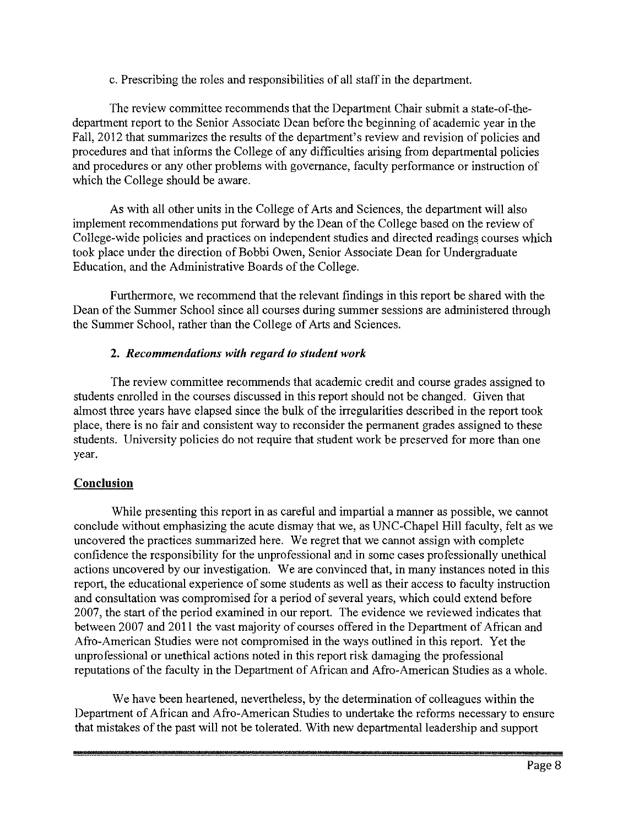#### c. Prescribing the roles and responsibilities of all staff in the department.

The review committee recommends that the Department Chair submit a state-of-thedepartment report to the Senior Associate Dean before the beginning of academic year in the Fall, 2012 that summarizes the results of the department's review and revision of policies and procedures and that informs the College of any difficulties arising from departmental policies and procedures or any other problems with governance, faculty performance or instruction of which the College should be aware.

As with all other units in the College of Arts and Sciences, the department will also implement recommendations put forward by the Dean of the College based on the review of College-wide policies and practices on independent studies and directed readings courses which took place under the direction of Bobbi Owen, Senior Associate Dean for Undergraduate Education, and the Administrative Boards of the College.

Furthermore, we recommend that the relevant findings in this report be shared with the Dean of the Summer School since all courses during summer sessions are administered through the Summer School, rather than the College of Arts and Sciences.

#### **2.** *Recommendations with regard to student work*

The review committee recommends that academic credit and course grades assigned to students enrolled in the courses discussed in this report should not be changed. Given that almost three years have elapsed since the bulk of the irregularities described in the report took place, there is no fair and consistent way to reconsider the permanent grades assigned to these students. University policies do not require that student work be preserved for more than one year.

# **Conclusion**

While presenting this report in as careful and impartial a manner as possible, we cannot conclude without emphasizing the acute dismay that we, as UNC-Chapel Hill faculty, felt as we uncovered the practices summarized here. We regret that we cannot assign with complete confidence the responsibility for the unprofessional and in some cases professionally unethical actions uncovered by our investigation. We are convinced that, in many instances noted in this report, the educational experience of some students as well as their access to faculty instruction and consultation was compromised for a period of several years, which could extend before 2007, the start of the period examined in our report. The evidence we reviewed indicates that between 2007 and 2011 the vast majority of courses offered in the Department of African and Afro-American Studies were not compromised in the ways outlined in this report. Yet the unprofessional or unethical actions noted in this report risk damaging the professional reputations of the faculty in the Department of African and Afro-American Studies as a whole.

We have been heartened, nevertheless, by the determination of colleagues within the Department of African and Afro-American Studies to undertake the reforms necessary to ensure that mistakes of the past will not be tolerated. With new departmental leadership and support